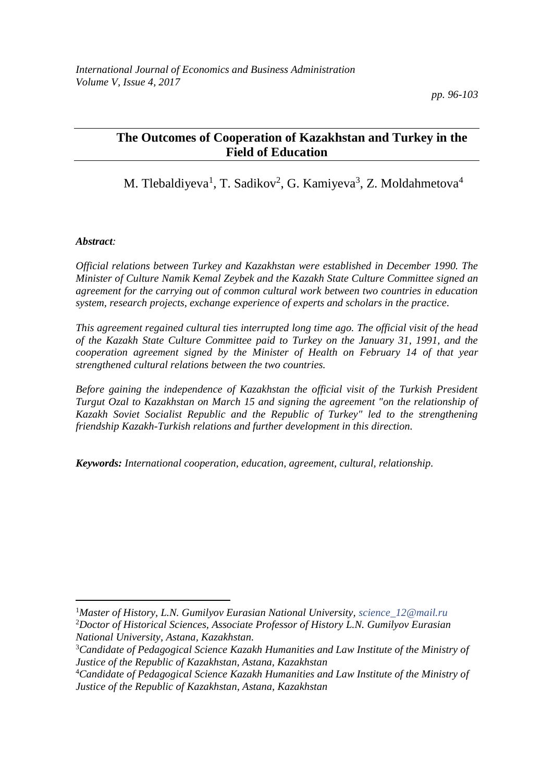# **The Outcomes of Cooperation of Kazakhstan and Turkey in the Field of Education**

M. Tlebaldiyeva<sup>1</sup>, T. Sadikov<sup>2</sup>, G. Kamiyeva<sup>3</sup>, Z. Moldahmetova<sup>4</sup>

#### *Abstract:*

 $\overline{\phantom{a}}$ 

*Official relations between Turkey and Kazakhstan were established in December 1990. The Minister of Culture Namik Kemal Zeybek and the Kazakh State Culture Committee signed an agreement for the carrying out of common cultural work between two countries in education system, research projects, exchange experience of experts and scholars in the practice.* 

*This agreement regained cultural ties interrupted long time ago. The official visit of the head of the Kazakh State Culture Committee paid to Turkey on the January 31, 1991, and the cooperation agreement signed by the Minister of Health on February 14 of that year strengthened cultural relations between the two countries.* 

*Before gaining the independence of Kazakhstan the official visit of the Turkish President Turgut Ozal to Kazakhstan on March 15 and signing the agreement "on the relationship of Kazakh Soviet Socialist Republic and the Republic of Turkey" led to the strengthening friendship Kazakh-Turkish relations and further development in this direction.* 

*Keywords: International cooperation, education, agreement, cultural, relationship.*

<sup>1</sup>*Master of History, L.N. Gumilyov Eurasian National University, [science\\_12@mail.ru](mailto:science_12@mail.ru)* <sup>2</sup>*Doctor of Historical Sciences, Associate Professor of History L.N. Gumilyov Eurasian National University, Astana, Kazakhstan.*

<sup>3</sup>*Candidate of Pedagogical Science Kazakh Humanities and Law Institute of the Ministry of Justice of the Republic of Kazakhstan, Astana, Kazakhstan*

<sup>4</sup>*Candidate of Pedagogical Science Kazakh Humanities and Law Institute of the Ministry of Justice of the Republic of Kazakhstan, Astana, Kazakhstan*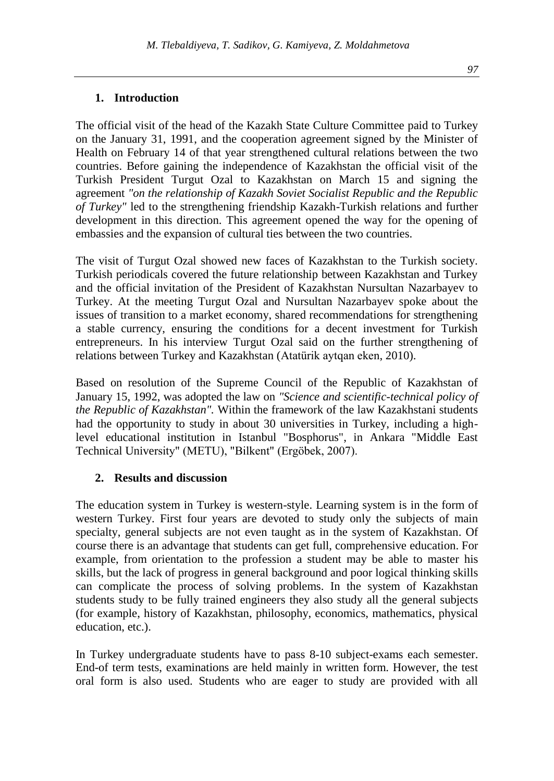The official visit of the head of the Kazakh State Culture Committee paid to Turkey on the January 31, 1991, and the cooperation agreement signed by the Minister of Health on February 14 of that year strengthened cultural relations between the two countries. Before gaining the independence of Kazakhstan the official visit of the Turkish President Turgut Ozal to Kazakhstan on March 15 and signing the agreement *"on the relationship of Kazakh Soviet Socialist Republic and the Republic of Turkey"* led to the strengthening friendship Kazakh-Turkish relations and further development in this direction. This agreement opened the way for the opening of embassies and the expansion of cultural ties between the two countries.

The visit of Turgut Ozal showed new faces of Kazakhstan to the Turkish society. Turkish periodicals covered the future relationship between Kazakhstan and Turkey and the official invitation of the President of Kazakhstan Nursultan Nazarbayev to Turkey. At the meeting Turgut Ozal and Nursultan Nazarbayev spoke about the issues of transition to a market economy, shared recommendations for strengthening a stable currency, ensuring the conditions for a decent investment for Turkish entrepreneurs. In his interview Turgut Ozal said on the further strengthening of relations between Turkey and Kazakhstan (Atatürik aytqan eken, 2010).

Based on resolution of the Supreme Council of the Republic of Kazakhstan of January 15, 1992, was adopted the law on *"Science and scientific-technical policy of the Republic of Kazakhstan".* Within the framework of the law Kazakhstani students had the opportunity to study in about 30 universities in Turkey, including a highlevel educational institution in Istanbul "Bosphorus", in Ankara "Middle East Technical University" (METU), "Bilkent" (Ergöbek, 2007).

#### **2. Results and discussion**

The education system in Turkey is western-style. Learning system is in the form of western Turkey. First four years are devoted to study only the subjects of main specialty, general subjects are not even taught as in the system of Kazakhstan. Of course there is an advantage that students can get full, comprehensive education. For example, from orientation to the profession a student may be able to master his skills, but the lack of progress in general background and poor logical thinking skills can complicate the process of solving problems. In the system of Kazakhstan students study to be fully trained engineers they also study all the general subjects (for example, history of Kazakhstan, philosophy, economics, mathematics, physical education, etc.).

In Turkey undergraduate students have to pass 8-10 subject-exams each semester. End-of term tests, examinations are held mainly in written form. However, the test oral form is also used. Students who are eager to study are provided with all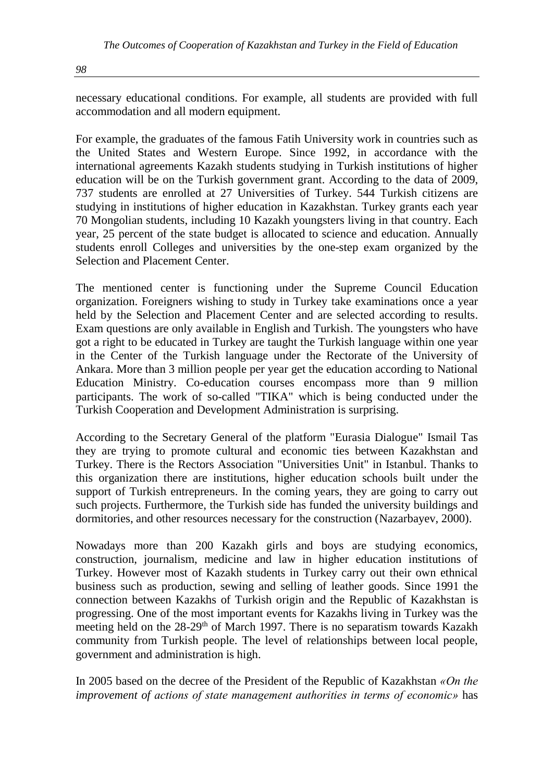*98*

necessary educational conditions. For example, all students are provided with full accommodation and all modern equipment.

For example, the graduates of the famous Fatih University work in countries such as the United States and Western Europe. Since 1992, in accordance with the international agreements Kazakh students studying in Turkish institutions of higher education will be on the Turkish government grant. According to the data of 2009, 737 students are enrolled at 27 Universities of Turkey. 544 Turkish citizens are studying in institutions of higher education in Kazakhstan. Turkey grants each year 70 Mongolian students, including 10 Kazakh youngsters living in that country. Each year, 25 percent of the state budget is allocated to science and education. Annually students enroll Colleges and universities by the one-step exam organized by the Selection and Placement Center.

The mentioned center is functioning under the Supreme Council Education organization. Foreigners wishing to study in Turkey take examinations once a year held by the Selection and Placement Center and are selected according to results. Exam questions are only available in English and Turkish. The youngsters who have got a right to be educated in Turkey are taught the Turkish language within one year in the Center of the Turkish language under the Rectorate of the University of Ankara. More than 3 million people per year get the education according to National Education Ministry. Co-education courses encompass more than 9 million participants. The work of so-called "TIKA" which is being conducted under the Turkish Cooperation and Development Administration is surprising.

According to the Secretary General of the platform "Eurasia Dialogue" Ismail Tas they are trying to promote cultural and economic ties between Kazakhstan and Turkey. There is the Rectors Association "Universities Unit" in Istanbul. Thanks to this organization there are institutions, higher education schools built under the support of Turkish entrepreneurs. In the coming years, they are going to carry out such projects. Furthermore, the Turkish side has funded the university buildings and dormitories, and other resources necessary for the construction (Nazarbayev, 2000).

Nowadays more than 200 Kazakh girls and boys are studying economics, construction, journalism, medicine and law in higher education institutions of Turkey. However most of Kazakh students in Turkey carry out their own ethnical business such as production, sewing and selling of leather goods. Since 1991 the connection between Kazakhs of Turkish origin and the Republic of Kazakhstan is progressing. One of the most important events for Kazakhs living in Turkey was the meeting held on the 28-29<sup>th</sup> of March 1997. There is no separatism towards Kazakh community from Turkish people. The level of relationships between local people, government and administration is high.

In 2005 based on the decree of the President of the Republic of Kazakhstan *«On the improvement of actions of state management authorities in terms of economic»* has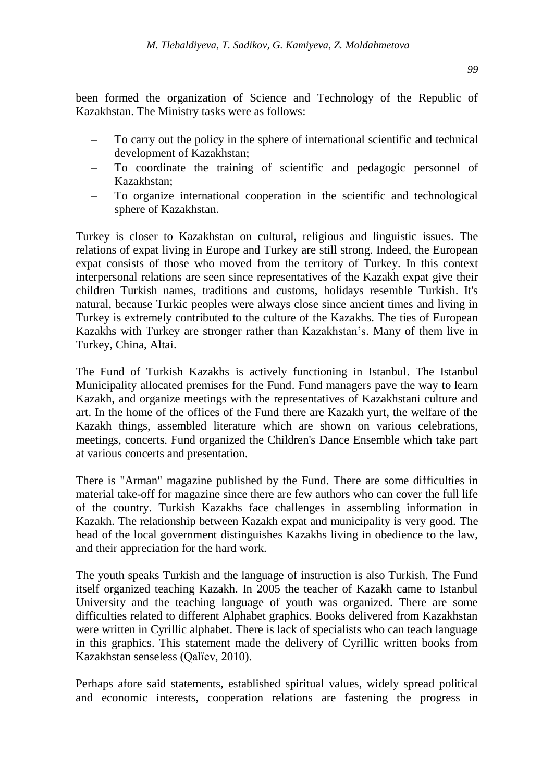been formed the organization of Science and Technology of the Republic of Kazakhstan. The Ministry tasks were as follows:

- To carry out the policy in the sphere of international scientific and technical development of Kazakhstan;
- − To coordinate the training of scientific and pedagogic personnel of Kazakhstan;
- To organize international cooperation in the scientific and technological sphere of Kazakhstan.

Turkey is closer to Kazakhstan on cultural, religious and linguistic issues. The relations of expat living in Europe and Turkey are still strong. Indeed, the European expat consists of those who moved from the territory of Turkey. In this context interpersonal relations are seen since representatives of the Kazakh expat give their children Turkish names, traditions and customs, holidays resemble Turkish. It's natural, because Turkic peoples were always close since ancient times and living in Turkey is extremely contributed to the culture of the Kazakhs. The ties of European Kazakhs with Turkey are stronger rather than Kazakhstan's. Many of them live in Turkey, China, Altai.

The Fund of Turkish Kazakhs is actively functioning in Istanbul. The Istanbul Municipality allocated premises for the Fund. Fund managers pave the way to learn Kazakh, and organize meetings with the representatives of Kazakhstani culture and art. In the home of the offices of the Fund there are Kazakh yurt, the welfare of the Kazakh things, assembled literature which are shown on various celebrations, meetings, concerts. Fund organized the Children's Dance Ensemble which take part at various concerts and presentation.

There is "Arman" magazine published by the Fund. There are some difficulties in material take-off for magazine since there are few authors who can cover the full life of the country. Turkish Kazakhs face challenges in assembling information in Kazakh. The relationship between Kazakh expat and municipality is very good. The head of the local government distinguishes Kazakhs living in obedience to the law, and their appreciation for the hard work.

The youth speaks Turkish and the language of instruction is also Turkish. The Fund itself organized teaching Kazakh. In 2005 the teacher of Kazakh came to Istanbul University and the teaching language of youth was organized. There are some difficulties related to different Alphabet graphics. Books delivered from Kazakhstan were written in Cyrillic alphabet. There is lack of specialists who can teach language in this graphics. This statement made the delivery of Cyrillic written books from Kazakhstan senseless (Qalïev, 2010).

Perhaps afore said statements, established spiritual values, widely spread political and economic interests, cooperation relations are fastening the progress in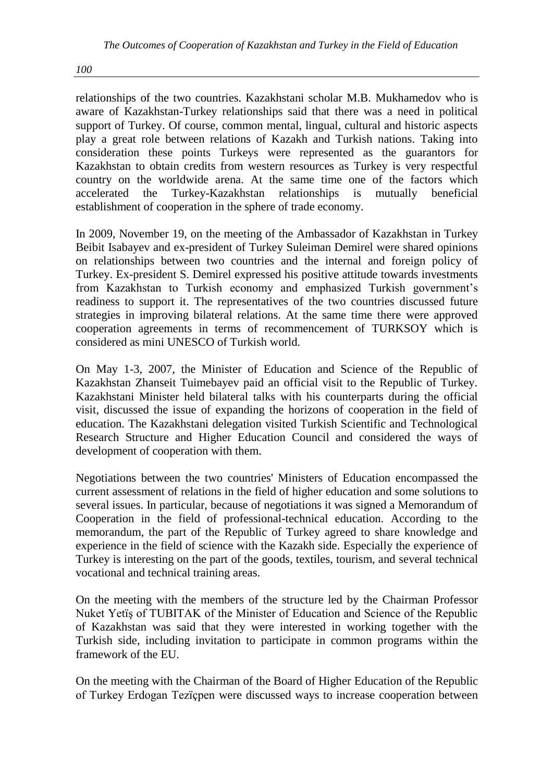*100*

relationships of the two countries. Kazakhstani scholar M.B. Mukhamedov who is aware of Kazakhstan-Turkey relationships said that there was a need in political support of Turkey. Of course, common mental, lingual, cultural and historic aspects play a great role between relations of Kazakh and Turkish nations. Taking into consideration these points Turkeys were represented as the guarantors for Kazakhstan to obtain credits from western resources as Turkey is very respectful country on the worldwide arena. At the same time one of the factors which accelerated the Turkey-Kazakhstan relationships is mutually beneficial establishment of cooperation in the sphere of trade economy.

In 2009, November 19, on the meeting of the Ambassador of Kazakhstan in Turkey Beibit Isabayev and ex-president of Turkey Suleiman Demirel were shared opinions on relationships between two countries and the internal and foreign policy of Turkey. Ex-president S. Demirel expressed his positive attitude towards investments from Kazakhstan to Turkish economy and emphasized Turkish government's readiness to support it. The representatives of the two countries discussed future strategies in improving bilateral relations. At the same time there were approved cooperation agreements in terms of recommencement of TURKSOY which is considered as mini UNESCO of Turkish world.

On May 1-3, 2007, the Minister of Education and Science of the Republic of Kazakhstan Zhanseit Tuimebayev paid an official visit to the Republic of Turkey. Kazakhstani Minister held bilateral talks with his counterparts during the official visit, discussed the issue of expanding the horizons of cooperation in the field of education. The Kazakhstani delegation visited Turkish Scientific and Technological Research Structure and Higher Education Council and considered the ways of development of cooperation with them.

Negotiations between the two countries' Ministers of Education encompassed the current assessment of relations in the field of higher education and some solutions to several issues. In particular, because of negotiations it was signed a Memorandum of Cooperation in the field of professional-technical education. According to the memorandum, the part of the Republic of Turkey agreed to share knowledge and experience in the field of science with the Kazakh side. Especially the experience of Turkey is interesting on the part of the goods, textiles, tourism, and several technical vocational and technical training areas.

On the meeting with the members of the structure led by the Chairman Professor Nuket Yetïş of TUBITAK of the Minister of Education and Science of the Republic of Kazakhstan was said that they were interested in working together with the Turkish side, including invitation to participate in common programs within the framework of the EU.

On the meeting with the Chairman of the Board of Higher Education of the Republic of Turkey Erdogan Tezïçpen were discussed ways to increase cooperation between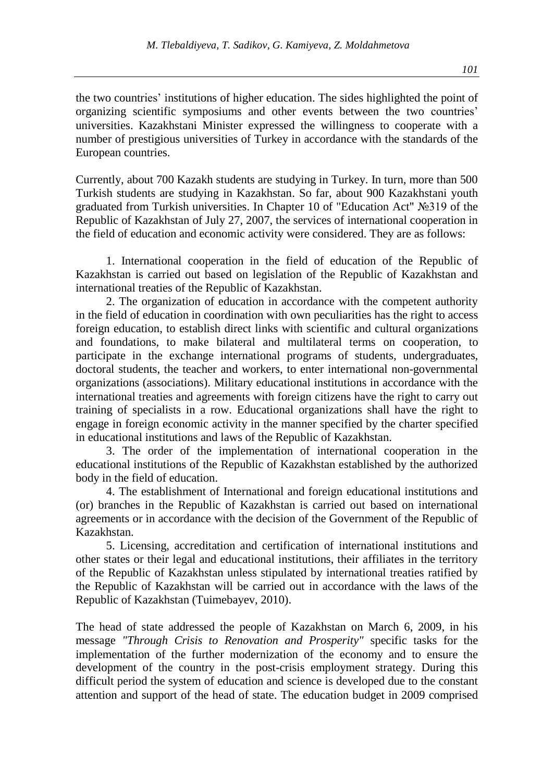the two countries' institutions of higher education. The sides highlighted the point of organizing scientific symposiums and other events between the two countries' universities. Kazakhstani Minister expressed the willingness to cooperate with a number of prestigious universities of Turkey in accordance with the standards of the European countries.

Currently, about 700 Kazakh students are studying in Turkey. In turn, more than 500 Turkish students are studying in Kazakhstan. So far, about 900 Kazakhstani youth graduated from Turkish universities. In Chapter 10 of "Education Act" №319 of the Republic of Kazakhstan of July 27, 2007, the services of international cooperation in the field of education and economic activity were considered. They are as follows:

1. International cooperation in the field of education of the Republic of Kazakhstan is carried out based on legislation of the Republic of Kazakhstan and international treaties of the Republic of Kazakhstan.

2. The organization of education in accordance with the competent authority in the field of education in coordination with own peculiarities has the right to access foreign education, to establish direct links with scientific and cultural organizations and foundations, to make bilateral and multilateral terms on cooperation, to participate in the exchange international programs of students, undergraduates, doctoral students, the teacher and workers, to enter international non-governmental organizations (associations). Military educational institutions in accordance with the international treaties and agreements with foreign citizens have the right to carry out training of specialists in a row. Educational organizations shall have the right to engage in foreign economic activity in the manner specified by the charter specified in educational institutions and laws of the Republic of Kazakhstan.

3. The order of the implementation of international cooperation in the educational institutions of the Republic of Kazakhstan established by the authorized body in the field of education.

4. The establishment of International and foreign educational institutions and (or) branches in the Republic of Kazakhstan is carried out based on international agreements or in accordance with the decision of the Government of the Republic of Kazakhstan.

5. Licensing, accreditation and certification of international institutions and other states or their legal and educational institutions, their affiliates in the territory of the Republic of Kazakhstan unless stipulated by international treaties ratified by the Republic of Kazakhstan will be carried out in accordance with the laws of the Republic of Kazakhstan (Tuimebayev, 2010).

The head of state addressed the people of Kazakhstan on March 6, 2009, in his message *"Through Crisis to Renovation and Prosperity"* specific tasks for the implementation of the further modernization of the economy and to ensure the development of the country in the post-crisis employment strategy. During this difficult period the system of education and science is developed due to the constant attention and support of the head of state. The education budget in 2009 comprised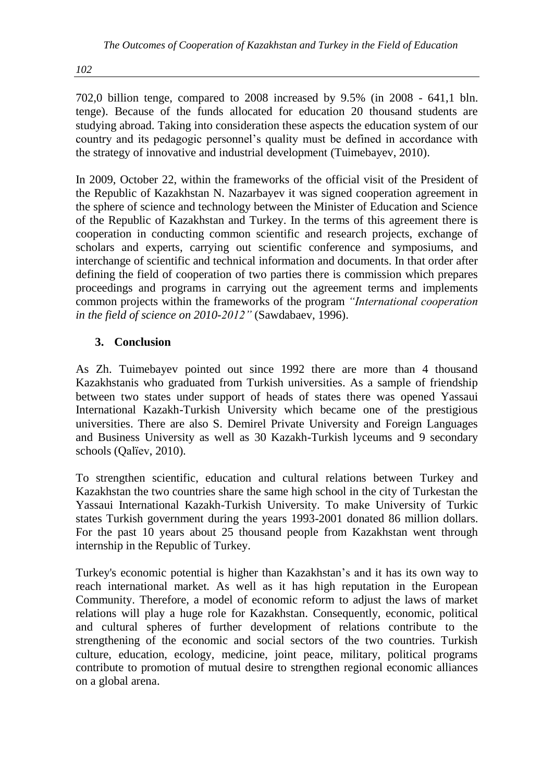*102*

702,0 billion tenge, compared to 2008 increased by 9.5% (in 2008 - 641,1 bln. tenge). Because of the funds allocated for education 20 thousand students are studying abroad. Taking into consideration these aspects the education system of our country and its pedagogic personnel's quality must be defined in accordance with the strategy of innovative and industrial development (Tuimebayev, 2010).

In 2009, October 22, within the frameworks of the official visit of the President of the Republic of Kazakhstan N. Nazarbayev it was signed cooperation agreement in the sphere of science and technology between the Minister of Education and Science of the Republic of Kazakhstan and Turkey. In the terms of this agreement there is cooperation in conducting common scientific and research projects, exchange of scholars and experts, carrying out scientific conference and symposiums, and interchange of scientific and technical information and documents. In that order after defining the field of cooperation of two parties there is commission which prepares proceedings and programs in carrying out the agreement terms and implements common projects within the frameworks of the program *"International cooperation in the field of science on 2010-2012"* (Sawdabaev, 1996).

## **3. Conclusion**

As Zh. Tuimebayev pointed out since 1992 there are more than 4 thousand Kazakhstanis who graduated from Turkish universities. As a sample of friendship between two states under support of heads of states there was opened Yassaui International Kazakh-Turkish University which became one of the prestigious universities. There are also S. Demirel Private University and Foreign Languages and Business University as well as 30 Kazakh-Turkish lyceums and 9 secondary schools (Qalïev, 2010).

To strengthen scientific, education and cultural relations between Turkey and Kazakhstan the two countries share the same high school in the city of Turkestan the Yassaui International Kazakh-Turkish University. To make University of Turkic states Turkish government during the years 1993-2001 donated 86 million dollars. For the past 10 years about 25 thousand people from Kazakhstan went through internship in the Republic of Turkey.

Turkey's economic potential is higher than Kazakhstan's and it has its own way to reach international market. As well as it has high reputation in the European Community. Therefore, a model of economic reform to adjust the laws of market relations will play a huge role for Kazakhstan. Consequently, economic, political and cultural spheres of further development of relations contribute to the strengthening of the economic and social sectors of the two countries. Turkish culture, education, ecology, medicine, joint peace, military, political programs contribute to promotion of mutual desire to strengthen regional economic alliances on a global arena.